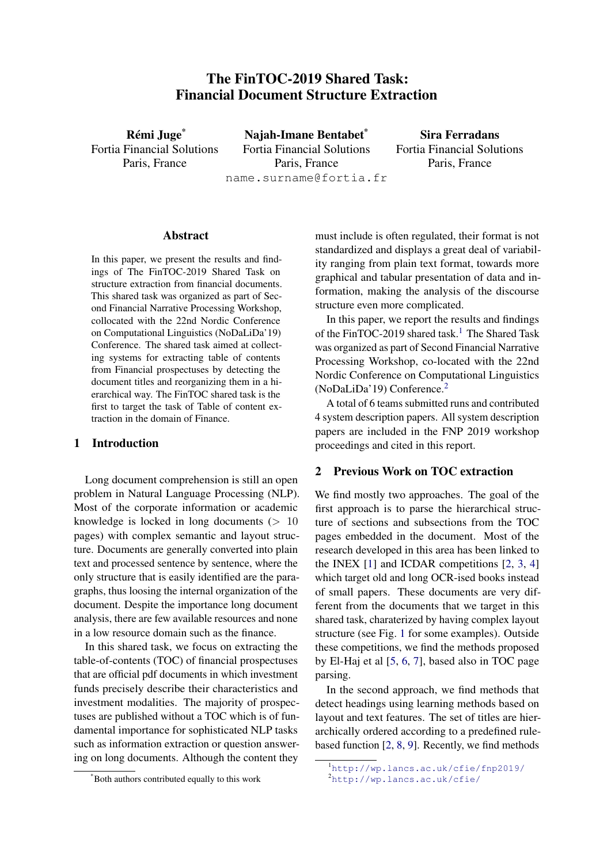# The FinTOC-2019 Shared Task: Financial Document Structure Extraction

Rémi Juge\* Fortia Financial Solutions Paris, France

Najah-Imane Bentabet\* Fortia Financial Solutions Paris, France name.surname@fortia.fr

Sira Ferradans Fortia Financial Solutions Paris, France

#### Abstract

In this paper, we present the results and findings of The FinTOC-2019 Shared Task on structure extraction from financial documents. This shared task was organized as part of Second Financial Narrative Processing Workshop, collocated with the 22nd Nordic Conference on Computational Linguistics (NoDaLiDa'19) Conference. The shared task aimed at collecting systems for extracting table of contents from Financial prospectuses by detecting the document titles and reorganizing them in a hierarchical way. The FinTOC shared task is the first to target the task of Table of content extraction in the domain of Finance.

### 1 Introduction

Long document comprehension is still an open problem in Natural Language Processing (NLP). Most of the corporate information or academic knowledge is locked in long documents  $(> 10$ pages) with complex semantic and layout structure. Documents are generally converted into plain text and processed sentence by sentence, where the only structure that is easily identified are the paragraphs, thus loosing the internal organization of the document. Despite the importance long document analysis, there are few available resources and none in a low resource domain such as the finance.

In this shared task, we focus on extracting the table-of-contents (TOC) of financial prospectuses that are official pdf documents in which investment funds precisely describe their characteristics and investment modalities. The majority of prospectuses are published without a TOC which is of fundamental importance for sophisticated NLP tasks such as information extraction or question answering on long documents. Although the content they

must include is often regulated, their format is not standardized and displays a great deal of variability ranging from plain text format, towards more graphical and tabular presentation of data and information, making the analysis of the discourse structure even more complicated.

In this paper, we report the results and findings of the FinTOC-20[1](#page-0-0)9 shared task.<sup>1</sup> The Shared Task was organized as part of Second Financial Narrative Processing Workshop, co-located with the 22nd Nordic Conference on Computational Linguistics (NoDaLiDa'19) Conference.[2](#page-0-1)

A total of 6 teams submitted runs and contributed 4 system description papers. All system description papers are included in the FNP 2019 workshop proceedings and cited in this report.

### <span id="page-0-2"></span>2 Previous Work on TOC extraction

We find mostly two approaches. The goal of the first approach is to parse the hierarchical structure of sections and subsections from the TOC pages embedded in the document. Most of the research developed in this area has been linked to the INEX [\[1\]](#page-5-0) and ICDAR competitions [\[2,](#page-5-1) [3,](#page-5-2) [4\]](#page-5-3) which target old and long OCR-ised books instead of small papers. These documents are very different from the documents that we target in this shared task, charaterized by having complex layout structure (see Fig. [1](#page-1-0) for some examples). Outside these competitions, we find the methods proposed by El-Haj et al [\[5,](#page-5-4) [6,](#page-5-5) [7\]](#page-5-6), based also in TOC page parsing.

In the second approach, we find methods that detect headings using learning methods based on layout and text features. The set of titles are hierarchically ordered according to a predefined rulebased function [\[2,](#page-5-1) [8,](#page-5-7) [9\]](#page-5-8). Recently, we find methods

<sup>\*</sup>Both authors contributed equally to this work

<span id="page-0-0"></span><sup>1</sup><http://wp.lancs.ac.uk/cfie/fnp2019/>

<span id="page-0-1"></span><sup>2</sup><http://wp.lancs.ac.uk/cfie/>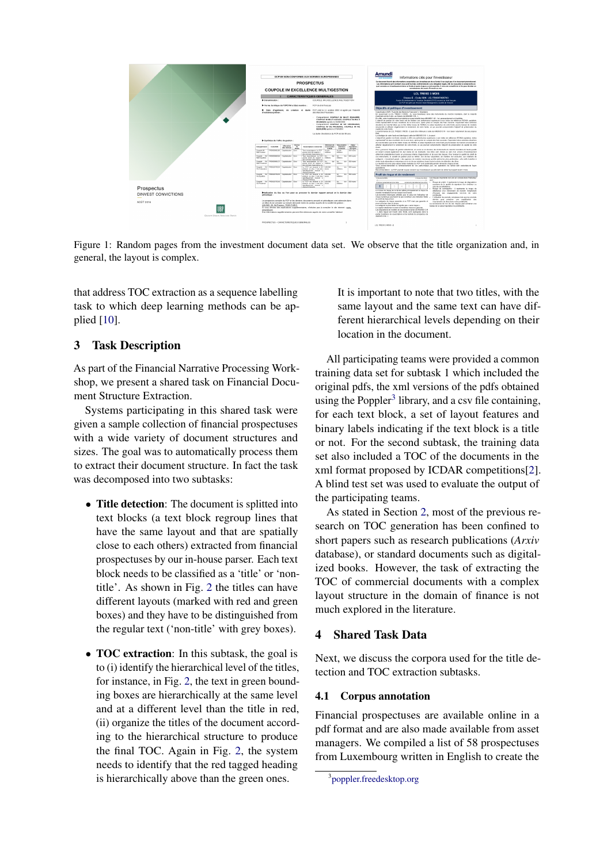<span id="page-1-0"></span>

Figure 1: Random pages from the investment document data set. We observe that the title organization and, in general, the layout is complex.

that address TOC extraction as a sequence labelling task to which deep learning methods can be applied [\[10\]](#page-6-0).

# 3 Task Description

As part of the Financial Narrative Processing Workshop, we present a shared task on Financial Document Structure Extraction.

Systems participating in this shared task were given a sample collection of financial prospectuses with a wide variety of document structures and sizes. The goal was to automatically process them to extract their document structure. In fact the task was decomposed into two subtasks:

- Title detection: The document is splitted into text blocks (a text block regroup lines that have the same layout and that are spatially close to each others) extracted from financial prospectuses by our in-house parser. Each text block needs to be classified as a 'title' or 'nontitle'. As shown in Fig. [2](#page-2-0) the titles can have different layouts (marked with red and green boxes) and they have to be distinguished from the regular text ('non-title' with grey boxes).
- **TOC extraction**: In this subtask, the goal is to (i) identify the hierarchical level of the titles, for instance, in Fig. [2,](#page-2-0) the text in green bounding boxes are hierarchically at the same level and at a different level than the title in red, (ii) organize the titles of the document according to the hierarchical structure to produce the final TOC. Again in Fig. [2,](#page-2-0) the system needs to identify that the red tagged heading is hierarchically above than the green ones.

It is important to note that two titles, with the same layout and the same text can have different hierarchical levels depending on their location in the document.

All participating teams were provided a common training data set for subtask 1 which included the original pdfs, the xml versions of the pdfs obtained using the Poppler<sup>[3](#page-1-1)</sup> library, and a csv file containing, for each text block, a set of layout features and binary labels indicating if the text block is a title or not. For the second subtask, the training data set also included a TOC of the documents in the xml format proposed by ICDAR competitions[\[2\]](#page-5-1). A blind test set was used to evaluate the output of the participating teams.

As stated in Section [2,](#page-0-2) most of the previous research on TOC generation has been confined to short papers such as research publications (*Arxiv* database), or standard documents such as digitalized books. However, the task of extracting the TOC of commercial documents with a complex layout structure in the domain of finance is not much explored in the literature.

### 4 Shared Task Data

Next, we discuss the corpora used for the title detection and TOC extraction subtasks.

#### 4.1 Corpus annotation

Financial prospectuses are available online in a pdf format and are also made available from asset managers. We compiled a list of 58 prospectuses from Luxembourg written in English to create the

<span id="page-1-1"></span><sup>3</sup> [poppler.freedesktop.org](https://poppler.freedesktop.org/)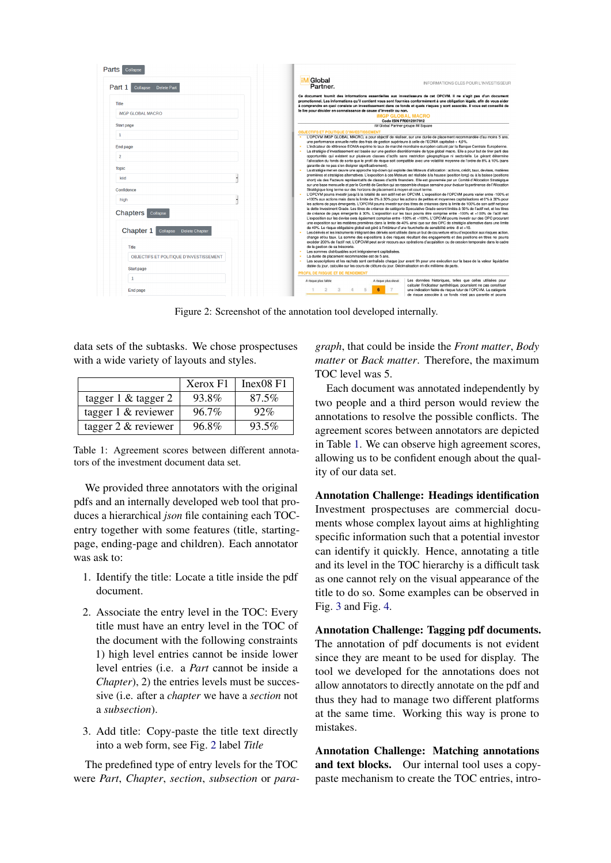<span id="page-2-0"></span>

| Part 1<br>Collapse Delete Part          | <b>iM</b> Global<br>INFORMATIONS CLES POUR L'INVESTISSEUR<br>Partner.                                                                                                                                                                                                                                                                                                                                                                                                                   |
|-----------------------------------------|-----------------------------------------------------------------------------------------------------------------------------------------------------------------------------------------------------------------------------------------------------------------------------------------------------------------------------------------------------------------------------------------------------------------------------------------------------------------------------------------|
| Title                                   | Ce document fournit des informations essentielles aux investisseurs de cet OPCVM. Il ne s'agit pas d'un document<br>promotionnel. Les informations qu'il contient vous sont fournies conformément à une obligation légale, afin de vous aider<br>à comprendre en quoi consiste un investissement dans ce fonds et quels risques y sont associés. Il vous est conseillé de                                                                                                               |
| <b>IMGP GLOBAL MACRO</b>                | le lire pour décider en connaissance de cause d'investir ou non.<br><b>IMGP GLOBAL MACRO</b>                                                                                                                                                                                                                                                                                                                                                                                            |
| <b>Start page</b>                       | Code ISIN FR0012917912<br>iM Global Partner groupe iM Square                                                                                                                                                                                                                                                                                                                                                                                                                            |
|                                         | <b>OBJECTIFS ET POLITIQUE D'INVESTISSEMENT</b>                                                                                                                                                                                                                                                                                                                                                                                                                                          |
| $\mathbf{1}$<br><b>End page</b>         | L'OPCVM iMGP GLOBAL MACRO, a pour objectif de réaliser, sur une durée de placement recommandée d'au moins 5 ans,<br>une performance annuelle nette des frais de gestion supérieure à celle de l'EONIA capitalisé + 4,0%.<br>L'indicateur de référence EONIA exprime le taux de marché monétaire européen calculé par la Banque Centrale Européenne.<br>La stratégie d'investissement est basée sur une gestion discrétionnaire de type global macro. Elle a pour but de tirer parti des |
| $\overline{2}$                          | opportunités qui existent sur plusieurs classes d'actifs sans restriction géographique ni sectorielle. Le gérant détermine<br>l'allocation du fonds de sorte que le profil de risque soit compatible avec une volatilité movenne de l'ordre de 8% à 10% (sans                                                                                                                                                                                                                           |
| <b>Topic</b>                            | garantie de ne pas s'en éloigner significativement).                                                                                                                                                                                                                                                                                                                                                                                                                                    |
|                                         | La stratégie met en œuvre une approche top-down qui exploite des Moteurs d'allocation : actions, crédit, taux, devises, matières<br>premières et stratégies alternatives. L'exposition à ces Moteurs est réalisée à la hausse (position long) ou à la baisse (positions                                                                                                                                                                                                                 |
| kiid                                    | short) via des Facteurs représentatifs de classes d'actifs financiers. Elle est gouvernée par un Comité d'Allocation Stratégique<br>sur une base mensuelle et par le Comité de Gestion qui se rassemble chaque semaine pour évaluer la pertinence de l'Allocation                                                                                                                                                                                                                       |
| Confidence                              | Stratégique long terme sur des horizons de placement à moven et court terme.                                                                                                                                                                                                                                                                                                                                                                                                            |
| high                                    | L'OPCVM pourra investir iusqu'à la totalité de son actif net en OPCVM. L'exposition de l'OPCVM pourra varier entre -100% et<br>+100% aux actions mais dans la limite de 0% à 30% pour les actions de petites et movennes capitalisations et 0% à 30% pour                                                                                                                                                                                                                               |
|                                         | les actions de pays émergents. L'OPCVM pourra investir sur des titres de créances dans la limite de 100% de son actif net pour                                                                                                                                                                                                                                                                                                                                                          |
| Chapters  <br>Collapse                  | la dette Investment Grade. Les titres de créance de catégorie Speculative Grade seront limités à 50% de l'actif net, et les titres<br>de créance de pays émergents à 30%. L'exposition sur les taux pourra être comprise entre -100% et +100% de l'actif net.                                                                                                                                                                                                                           |
|                                         | L'exposition sur les devise sera également comprise entre -100% et +100%. L'OPCVM pourra investir sur des OPC procurant<br>une exposition sur les matières premières dans la limite de 40% ainsi que sur des OPC de stratégie alternative dans une limite                                                                                                                                                                                                                               |
| Chapter 1<br>Collapse Delete Chapter    | de 40%. Le risque obligataire global est géré à l'intérieur d'une fourchette de sensibilité entre -8 et +10.                                                                                                                                                                                                                                                                                                                                                                            |
|                                         | Les dérivés et les instruments intégrant des dérivés sont utilisés dans un but de couverture et/ou d'exposition aux risques action,<br>change et/ou taux. La somme des expositions à des risques résultant des engagements et des positions en titres ne pourra                                                                                                                                                                                                                         |
|                                         | excéder 200% de l'actif net. L'OPCVM peut avoir recours aux opérations d'acquisition ou de cession temporaire dans le cadre                                                                                                                                                                                                                                                                                                                                                             |
| <b>Title</b>                            | de la gestion de sa trésorerie.<br>Les sommes distribuables sont intégralement capitalisées.                                                                                                                                                                                                                                                                                                                                                                                            |
| OBJECTIFS ET POLITIOUE D'INVESTISSEMENT | La durée de placement recommandée est de 5 ans.<br>Les souscriptions et les rachats sont centralisés chaque jour avant 9h pour une exécution sur la base de la valeur liquidative<br>$\sim$                                                                                                                                                                                                                                                                                             |
| <b>Start page</b>                       | datée du jour, calculée sur les cours de clôture du jour. Décimalisation en dix millième de parts.                                                                                                                                                                                                                                                                                                                                                                                      |
|                                         | PROFIL DE RISQUE ET DE RENDEMENT                                                                                                                                                                                                                                                                                                                                                                                                                                                        |
|                                         |                                                                                                                                                                                                                                                                                                                                                                                                                                                                                         |
| $\mathbf{1}$                            | Les données historiques, telles que celles utilisées pour<br>A risque plus faible<br>A risque plus élevé<br>calculer l'indicateur synthétique, pourraient ne pas constituer                                                                                                                                                                                                                                                                                                             |

Figure 2: Screenshot of the annotation tool developed internally.

data sets of the subtasks. We chose prospectuses with a wide variety of layouts and styles.

<span id="page-2-1"></span>

|                          | Xerox F1 | Inex08 F1 |
|--------------------------|----------|-----------|
| tagger $1 \&$ tagger $2$ | 93.8%    | 87.5%     |
| tagger $1 \&$ reviewer   | $96.7\%$ | 92%       |
| tagger $2 \&$ reviewer   | 96.8%    | $93.5\%$  |

Table 1: Agreement scores between different annotators of the investment document data set.

We provided three annotators with the original pdfs and an internally developed web tool that produces a hierarchical *json* file containing each TOCentry together with some features (title, startingpage, ending-page and children). Each annotator was ask to:

- 1. Identify the title: Locate a title inside the pdf document.
- 2. Associate the entry level in the TOC: Every title must have an entry level in the TOC of the document with the following constraints 1) high level entries cannot be inside lower level entries (i.e. a *Part* cannot be inside a *Chapter*), 2) the entries levels must be successive (i.e. after a *chapter* we have a *section* not a *subsection*).
- 3. Add title: Copy-paste the title text directly into a web form, see Fig. [2](#page-2-0) label *Title*

The predefined type of entry levels for the TOC were *Part*, *Chapter*, *section*, *subsection* or *para-* *graph*, that could be inside the *Front matter*, *Body matter* or *Back matter*. Therefore, the maximum TOC level was 5.

Each document was annotated independently by two people and a third person would review the annotations to resolve the possible conflicts. The agreement scores between annotators are depicted in Table [1.](#page-2-1) We can observe high agreement scores, allowing us to be confident enough about the quality of our data set.

Annotation Challenge: Headings identification Investment prospectuses are commercial documents whose complex layout aims at highlighting specific information such that a potential investor can identify it quickly. Hence, annotating a title and its level in the TOC hierarchy is a difficult task as one cannot rely on the visual appearance of the title to do so. Some examples can be observed in Fig. [3](#page-3-0) and Fig. [4.](#page-3-1)

Annotation Challenge: Tagging pdf documents. The annotation of pdf documents is not evident since they are meant to be used for display. The tool we developed for the annotations does not allow annotators to directly annotate on the pdf and thus they had to manage two different platforms at the same time. Working this way is prone to mistakes.

Annotation Challenge: Matching annotations and text blocks. Our internal tool uses a copypaste mechanism to create the TOC entries, intro-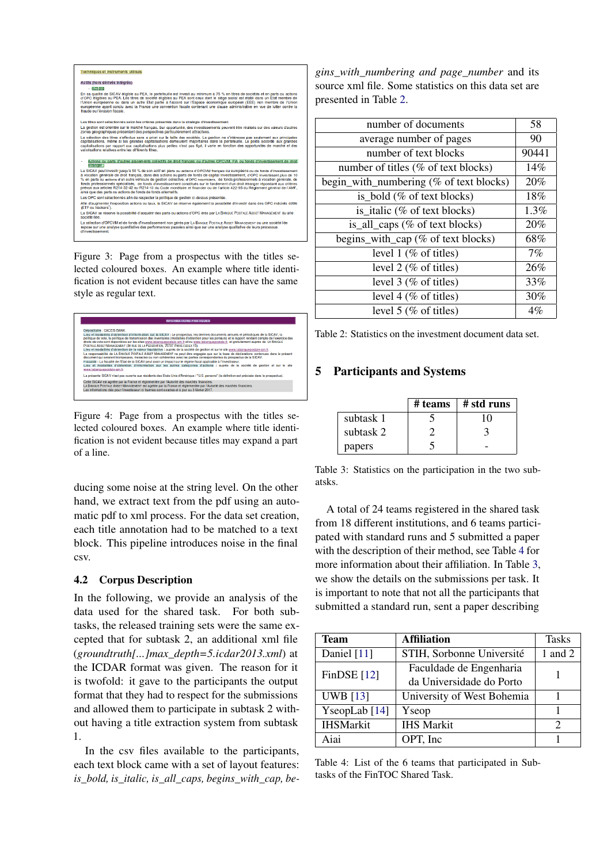<span id="page-3-0"></span>

Figure 3: Page from a prospectus with the titles selected coloured boxes. An example where title identification is not evident because titles can have the same style as regular text.

<span id="page-3-1"></span>

Figure 4: Page from a prospectus with the titles selected coloured boxes. An example where title identification is not evident because titles may expand a part of a line.

ducing some noise at the string level. On the other hand, we extract text from the pdf using an automatic pdf to xml process. For the data set creation, each title annotation had to be matched to a text block. This pipeline introduces noise in the final csv.

## <span id="page-3-5"></span>4.2 Corpus Description

In the following, we provide an analysis of the data used for the shared task. For both subtasks, the released training sets were the same excepted that for subtask 2, an additional xml file (*groundtruth[...]max\_depth=5.icdar2013.xml*) at the ICDAR format was given. The reason for it is twofold: it gave to the participants the output format that they had to respect for the submissions and allowed them to participate in subtask 2 without having a title extraction system from subtask 1.

In the csv files available to the participants, each text block came with a set of layout features: *is\_bold, is\_italic, is\_all\_caps, begins\_with\_cap, be-*

*gins\_with\_numbering and page\_number* and its source xml file. Some statistics on this data set are presented in Table [2.](#page-3-2)

<span id="page-3-2"></span>

| number of documents                     | 58    |
|-----------------------------------------|-------|
| average number of pages                 | 90    |
| number of text blocks                   | 90441 |
| number of titles (% of text blocks)     | 14%   |
| begin_with_numbering (% of text blocks) | 20%   |
| is bold $(\%$ of text blocks)           | 18%   |
| is italic $(\%$ of text blocks)         | 1.3%  |
| is_all_caps (% of text blocks)          | 20%   |
| begins_with_cap (% of text blocks)      | 68%   |
| level $1$ (% of titles)                 | 7%    |
| level $2 \ (\% \)$ of titles)           | 26%   |
| level $3$ (% of titles)                 | 33%   |
| level 4 (% of titles)                   | 30%   |
| level $5$ (% of titles)                 | $4\%$ |

Table 2: Statistics on the investment document data set.

# <span id="page-3-4"></span>5 Participants and Systems

|           | # teams | # std runs |
|-----------|---------|------------|
| subtask 1 |         | 10         |
| subtask 2 |         |            |
| papers    |         |            |

Table 3: Statistics on the participation in the two subatsks.

A total of 24 teams registered in the shared task from 18 different institutions, and 6 teams participated with standard runs and 5 submitted a paper with the description of their method, see Table [4](#page-3-3) for more information about their affiliation. In Table [3,](#page-3-4) we show the details on the submissions per task. It is important to note that not all the participants that submitted a standard run, sent a paper describing

<span id="page-3-3"></span>

| <b>Team</b>      | <b>Affiliation</b>         | <b>Tasks</b>                |
|------------------|----------------------------|-----------------------------|
| Daniel [11]      | STIH, Sorbonne Université  | 1 and $2$                   |
| FinDSE $[12]$    | Faculdade de Engenharia    |                             |
|                  | da Universidade do Porto   |                             |
| <b>UWB</b> [13]  | University of West Bohemia |                             |
| YseopLab $[14]$  | Yseop                      |                             |
| <b>IHSMarkit</b> | <b>IHS Markit</b>          | $\mathcal{D}_{\mathcal{L}}$ |
| Aiai             | OPT, Inc                   |                             |

Table 4: List of the 6 teams that participated in Subtasks of the FinTOC Shared Task.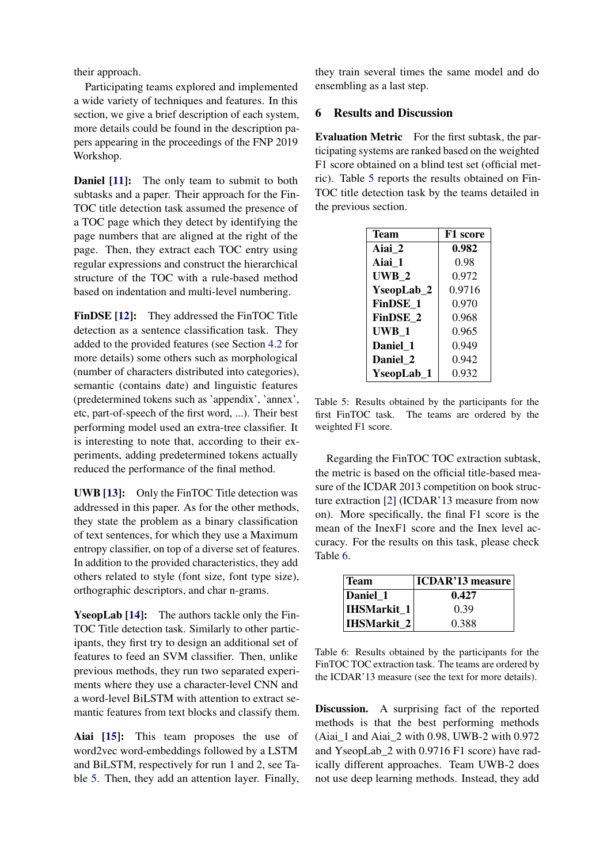their approach.

Participating teams explored and implemented a wide variety of techniques and features. In this section, we give a brief description of each system, more details could be found in the description papers appearing in the proceedings of the FNP 2019 Workshop.

**Daniel [\[11\]](#page-6-1):** The only team to submit to both subtasks and a paper. Their approach for the Fin-TOC title detection task assumed the presence of a TOC page which they detect by identifying the page numbers that are aligned at the right of the page. Then, they extract each TOC entry using regular expressions and construct the hierarchical structure of the TOC with a rule-based method based on indentation and multi-level numbering.

FinDSE [\[12\]](#page-6-2): They addressed the FinTOC Title detection as a sentence classification task. They added to the provided features (see Section [4.2](#page-3-5) for more details) some others such as morphological (number of characters distributed into categories), semantic (contains date) and linguistic features (predetermined tokens such as 'appendix', 'annex', etc, part-of-speech of the first word, ...). Their best performing model used an extra-tree classifier. It is interesting to note that, according to their experiments, adding predetermined tokens actually reduced the performance of the final method.

UWB [\[13\]](#page-6-3): Only the FinTOC Title detection was addressed in this paper. As for the other methods, they state the problem as a binary classification of text sentences, for which they use a Maximum entropy classifier, on top of a diverse set of features. In addition to the provided characteristics, they add others related to style (font size, font type size), orthographic descriptors, and char n-grams.

YseopLab [\[14\]](#page-6-4): The authors tackle only the Fin-TOC Title detection task. Similarly to other participants, they first try to design an additional set of features to feed an SVM classifier. Then, unlike previous methods, they run two separated experiments where they use a character-level CNN and a word-level BiLSTM with attention to extract semantic features from text blocks and classify them.

Aiai [\[15\]](#page-6-5): This team proposes the use of word2vec word-embeddings followed by a LSTM and BiLSTM, respectively for run 1 and 2, see Table [5.](#page-4-0) Then, they add an attention layer. Finally, they train several times the same model and do ensembling as a last step.

### 6 Results and Discussion

Evaluation Metric For the first subtask, the participating systems are ranked based on the weighted F1 score obtained on a blind test set (official metric). Table [5](#page-4-0) reports the results obtained on Fin-TOC title detection task by the teams detailed in the previous section.

<span id="page-4-0"></span>

| <b>Team</b> | F1 score |
|-------------|----------|
| Aiai 2      | 0.982    |
| Aiai 1      | 0.98     |
| UWB 2       | 0.972    |
| YseopLab_2  | 0.9716   |
| FinDSE 1    | 0.970    |
| FinDSE 2    | 0.968    |
| UWB 1       | 0.965    |
| Daniel 1    | 0.949    |
| Daniel 2    | 0.942    |
| YseopLab 1  | 0.932    |

Table 5: Results obtained by the participants for the first FinTOC task. The teams are ordered by the weighted F1 score.

Regarding the FinTOC TOC extraction subtask, the metric is based on the official title-based measure of the ICDAR 2013 competition on book structure extraction [\[2\]](#page-5-1) (ICDAR'13 measure from now on). More specifically, the final F1 score is the mean of the InexF1 score and the Inex level accuracy. For the results on this task, please check Table [6.](#page-4-1)

<span id="page-4-1"></span>

| <b>Team</b>        | <b>ICDAR'13 measure</b> |
|--------------------|-------------------------|
| Daniel 1           | 0.427                   |
| <b>IHSMarkit 1</b> | 0.39                    |
| <b>IHSMarkit 2</b> | 0.388                   |

Table 6: Results obtained by the participants for the FinTOC TOC extraction task. The teams are ordered by the ICDAR'13 measure (see the text for more details).

Discussion. A surprising fact of the reported methods is that the best performing methods (Aiai\_1 and Aiai\_2 with 0.98, UWB-2 with 0.972 and YseopLab\_2 with 0.9716 F1 score) have radically different approaches. Team UWB-2 does not use deep learning methods. Instead, they add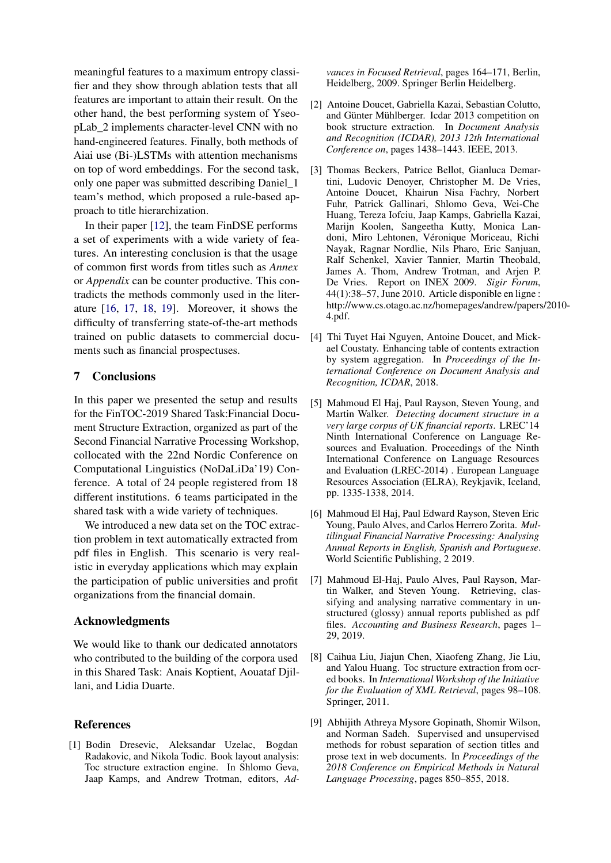meaningful features to a maximum entropy classifier and they show through ablation tests that all features are important to attain their result. On the other hand, the best performing system of YseopLab\_2 implements character-level CNN with no hand-engineered features. Finally, both methods of Aiai use (Bi-)LSTMs with attention mechanisms on top of word embeddings. For the second task, only one paper was submitted describing Daniel\_1 team's method, which proposed a rule-based approach to title hierarchization.

In their paper [\[12\]](#page-6-2), the team FinDSE performs a set of experiments with a wide variety of features. An interesting conclusion is that the usage of common first words from titles such as *Annex* or *Appendix* can be counter productive. This contradicts the methods commonly used in the literature [\[16,](#page-6-6) [17,](#page-6-7) [18,](#page-6-8) [19\]](#page-6-9). Moreover, it shows the difficulty of transferring state-of-the-art methods trained on public datasets to commercial documents such as financial prospectuses.

### 7 Conclusions

In this paper we presented the setup and results for the FinTOC-2019 Shared Task:Financial Document Structure Extraction, organized as part of the Second Financial Narrative Processing Workshop, collocated with the 22nd Nordic Conference on Computational Linguistics (NoDaLiDa'19) Conference. A total of 24 people registered from 18 different institutions. 6 teams participated in the shared task with a wide variety of techniques.

We introduced a new data set on the TOC extraction problem in text automatically extracted from pdf files in English. This scenario is very realistic in everyday applications which may explain the participation of public universities and profit organizations from the financial domain.

### Acknowledgments

We would like to thank our dedicated annotators who contributed to the building of the corpora used in this Shared Task: Anais Koptient, Aouataf Djillani, and Lidia Duarte.

### **References**

<span id="page-5-0"></span>[1] Bodin Dresevic, Aleksandar Uzelac, Bogdan Radakovic, and Nikola Todic. Book layout analysis: Toc structure extraction engine. In Shlomo Geva, Jaap Kamps, and Andrew Trotman, editors, *Ad-*

*vances in Focused Retrieval*, pages 164–171, Berlin, Heidelberg, 2009. Springer Berlin Heidelberg.

- <span id="page-5-1"></span>[2] Antoine Doucet, Gabriella Kazai, Sebastian Colutto, and Günter Mühlberger. Icdar 2013 competition on book structure extraction. In *Document Analysis and Recognition (ICDAR), 2013 12th International Conference on*, pages 1438–1443. IEEE, 2013.
- <span id="page-5-2"></span>[3] Thomas Beckers, Patrice Bellot, Gianluca Demartini, Ludovic Denoyer, Christopher M. De Vries, Antoine Doucet, Khairun Nisa Fachry, Norbert Fuhr, Patrick Gallinari, Shlomo Geva, Wei-Che Huang, Tereza Iofciu, Jaap Kamps, Gabriella Kazai, Marijn Koolen, Sangeetha Kutty, Monica Landoni, Miro Lehtonen, Véronique Moriceau, Richi Nayak, Ragnar Nordlie, Nils Pharo, Eric Sanjuan, Ralf Schenkel, Xavier Tannier, Martin Theobald, James A. Thom, Andrew Trotman, and Arjen P. De Vries. Report on INEX 2009. *Sigir Forum*, 44(1):38–57, June 2010. Article disponible en ligne : http://www.cs.otago.ac.nz/homepages/andrew/papers/2010- 4.pdf.
- <span id="page-5-3"></span>[4] Thi Tuyet Hai Nguyen, Antoine Doucet, and Mickael Coustaty. Enhancing table of contents extraction by system aggregation. In *Proceedings of the International Conference on Document Analysis and Recognition, ICDAR*, 2018.
- <span id="page-5-4"></span>[5] Mahmoud El Haj, Paul Rayson, Steven Young, and Martin Walker. *Detecting document structure in a very large corpus of UK financial reports*. LREC'14 Ninth International Conference on Language Resources and Evaluation. Proceedings of the Ninth International Conference on Language Resources and Evaluation (LREC-2014) . European Language Resources Association (ELRA), Reykjavik, Iceland, pp. 1335-1338, 2014.
- <span id="page-5-5"></span>[6] Mahmoud El Haj, Paul Edward Rayson, Steven Eric Young, Paulo Alves, and Carlos Herrero Zorita. *Multilingual Financial Narrative Processing: Analysing Annual Reports in English, Spanish and Portuguese*. World Scientific Publishing, 2 2019.
- <span id="page-5-6"></span>[7] Mahmoud El-Haj, Paulo Alves, Paul Rayson, Martin Walker, and Steven Young. Retrieving, classifying and analysing narrative commentary in unstructured (glossy) annual reports published as pdf files. *Accounting and Business Research*, pages 1– 29, 2019.
- <span id="page-5-7"></span>[8] Caihua Liu, Jiajun Chen, Xiaofeng Zhang, Jie Liu, and Yalou Huang. Toc structure extraction from ocred books. In *International Workshop of the Initiative for the Evaluation of XML Retrieval*, pages 98–108. Springer, 2011.
- <span id="page-5-8"></span>[9] Abhijith Athreya Mysore Gopinath, Shomir Wilson, and Norman Sadeh. Supervised and unsupervised methods for robust separation of section titles and prose text in web documents. In *Proceedings of the 2018 Conference on Empirical Methods in Natural Language Processing*, pages 850–855, 2018.